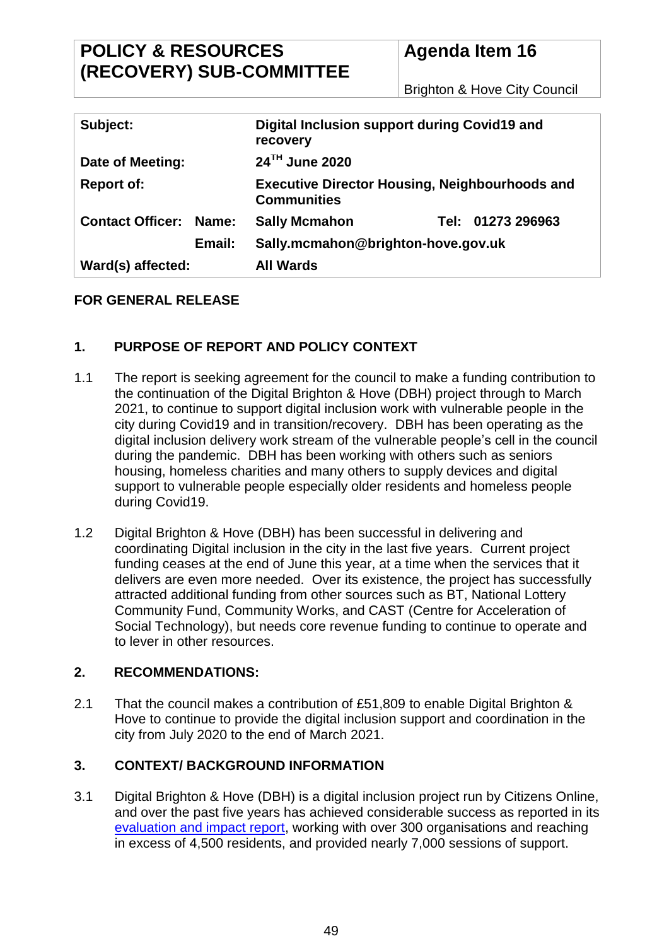# **POLICY & RESOURCES (RECOVERY) SUB-COMMITTEE**

# **Agenda Item 16**

Brighton & Hove City Council

| Subject:                      | Digital Inclusion support during Covid19 and<br>recovery                    |
|-------------------------------|-----------------------------------------------------------------------------|
| Date of Meeting:              | 24 <sup>TH</sup> June 2020                                                  |
| <b>Report of:</b>             | <b>Executive Director Housing, Neighbourhoods and</b><br><b>Communities</b> |
| <b>Contact Officer: Name:</b> | <b>Sally Mcmahon</b><br>Tel: 01273 296963                                   |
| Email:                        | Sally.mcmahon@brighton-hove.gov.uk                                          |
| Ward(s) affected:             | <b>All Wards</b>                                                            |

# **FOR GENERAL RELEASE**

# **1. PURPOSE OF REPORT AND POLICY CONTEXT**

- 1.1 The report is seeking agreement for the council to make a funding contribution to the continuation of the Digital Brighton & Hove (DBH) project through to March 2021, to continue to support digital inclusion work with vulnerable people in the city during Covid19 and in transition/recovery. DBH has been operating as the digital inclusion delivery work stream of the vulnerable people's cell in the council during the pandemic. DBH has been working with others such as seniors housing, homeless charities and many others to supply devices and digital support to vulnerable people especially older residents and homeless people during Covid19.
- 1.2 Digital Brighton & Hove (DBH) has been successful in delivering and coordinating Digital inclusion in the city in the last five years. Current project funding ceases at the end of June this year, at a time when the services that it delivers are even more needed. Over its existence, the project has successfully attracted additional funding from other sources such as BT, National Lottery Community Fund, Community Works, and CAST (Centre for Acceleration of Social Technology), but needs core revenue funding to continue to operate and to lever in other resources.

# **2. RECOMMENDATIONS:**

2.1 That the council makes a contribution of £51,809 to enable Digital Brighton & Hove to continue to provide the digital inclusion support and coordination in the city from July 2020 to the end of March 2021.

# **3. CONTEXT/ BACKGROUND INFORMATION**

3.1 Digital Brighton & Hove (DBH) is a digital inclusion project run by Citizens Online, and over the past five years has achieved considerable success as reported in its [evaluation and impact report,](Digital%20Brighton%20&%20Hove%20Phase%202%20Evaluation%20and%20Impact%20Report%202017-19) working with over 300 organisations and reaching in excess of 4,500 residents, and provided nearly 7,000 sessions of support.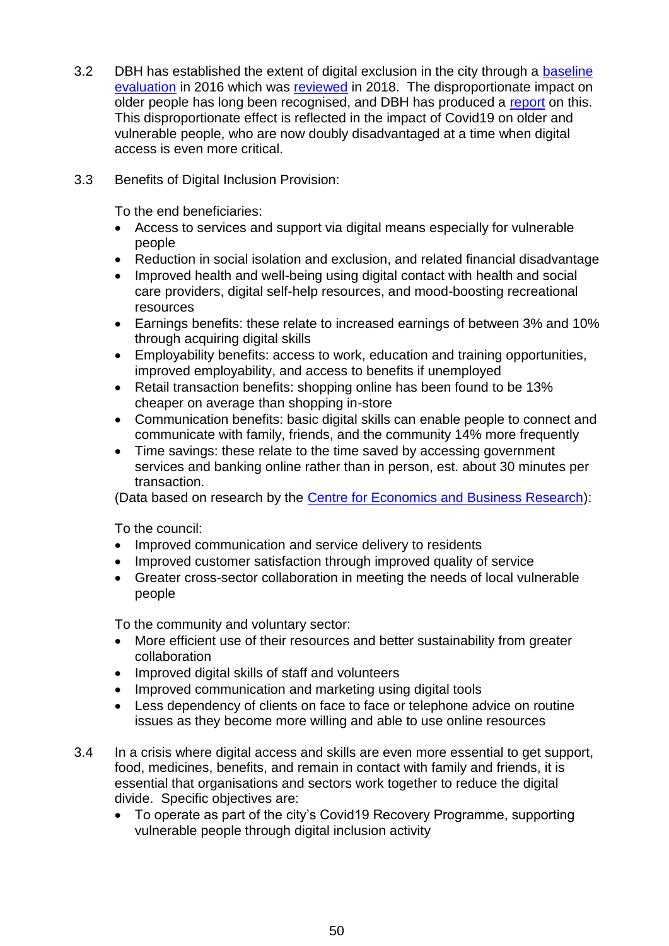- 3.2 DBH has established the extent of digital exclusion in the city through a [baseline](https://www.citizensonline.org.uk/wp-content/uploads/2020/05/DBH2016baselineExecutiveSummary.pdf)  [evaluation](https://www.citizensonline.org.uk/wp-content/uploads/2020/05/DBH2016baselineExecutiveSummary.pdf) in 2016 which was [reviewed](Digital%20Exclusion%20In%20Brighton%20&%20Hove%20Baseline%20Review%202018) in 2018. The disproportionate impact on older people has long been recognised, and DBH has produced a [report](https://www.citizensonline.org.uk/wp-content/uploads/2018/10/AgeAndDigitalInclusionBHWeb.pdf) on this. This disproportionate effect is reflected in the impact of Covid19 on older and vulnerable people, who are now doubly disadvantaged at a time when digital access is even more critical.
- 3.3 Benefits of Digital Inclusion Provision:

To the end beneficiaries:

- Access to services and support via digital means especially for vulnerable people
- Reduction in social isolation and exclusion, and related financial disadvantage
- Improved health and well-being using digital contact with health and social care providers, digital self-help resources, and mood-boosting recreational resources
- Earnings benefits: these relate to increased earnings of between 3% and 10% through acquiring digital skills
- Employability benefits: access to work, education and training opportunities, improved employability, and access to benefits if unemployed
- Retail transaction benefits: shopping online has been found to be 13% cheaper on average than shopping in-store
- Communication benefits: basic digital skills can enable people to connect and communicate with family, friends, and the community 14% more frequently
- Time savings: these relate to the time saved by accessing government services and banking online rather than in person, est. about 30 minutes per transaction.

(Data based on research by the [Centre for Economics and Business Research\)](file://///WAP-MODERN/mgReportDbDocs/7/9/7/R00007797/The%20Economic%20Impact%20of%20Basic%20Digital%20Skills%20and%20Inclusion%20in%20the%20UK):

To the council:

- Improved communication and service delivery to residents
- Improved customer satisfaction through improved quality of service
- Greater cross-sector collaboration in meeting the needs of local vulnerable people

To the community and voluntary sector:

- More efficient use of their resources and better sustainability from greater collaboration
- Improved digital skills of staff and volunteers
- Improved communication and marketing using digital tools
- Less dependency of clients on face to face or telephone advice on routine issues as they become more willing and able to use online resources
- 3.4 In a crisis where digital access and skills are even more essential to get support, food, medicines, benefits, and remain in contact with family and friends, it is essential that organisations and sectors work together to reduce the digital divide. Specific objectives are:
	- To operate as part of the city's Covid19 Recovery Programme, supporting vulnerable people through digital inclusion activity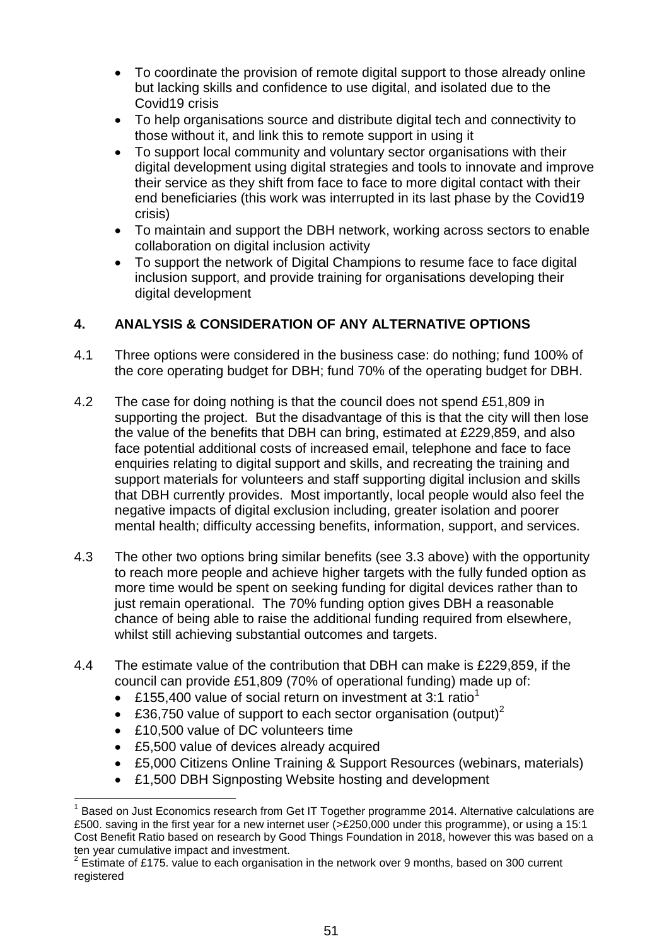- To coordinate the provision of remote digital support to those already online but lacking skills and confidence to use digital, and isolated due to the Covid19 crisis
- To help organisations source and distribute digital tech and connectivity to those without it, and link this to remote support in using it
- To support local community and voluntary sector organisations with their digital development using digital strategies and tools to innovate and improve their service as they shift from face to face to more digital contact with their end beneficiaries (this work was interrupted in its last phase by the Covid19 crisis)
- To maintain and support the DBH network, working across sectors to enable collaboration on digital inclusion activity
- To support the network of Digital Champions to resume face to face digital inclusion support, and provide training for organisations developing their digital development

# **4. ANALYSIS & CONSIDERATION OF ANY ALTERNATIVE OPTIONS**

- 4.1 Three options were considered in the business case: do nothing; fund 100% of the core operating budget for DBH; fund 70% of the operating budget for DBH.
- 4.2 The case for doing nothing is that the council does not spend £51,809 in supporting the project. But the disadvantage of this is that the city will then lose the value of the benefits that DBH can bring, estimated at £229,859, and also face potential additional costs of increased email, telephone and face to face enquiries relating to digital support and skills, and recreating the training and support materials for volunteers and staff supporting digital inclusion and skills that DBH currently provides. Most importantly, local people would also feel the negative impacts of digital exclusion including, greater isolation and poorer mental health; difficulty accessing benefits, information, support, and services.
- 4.3 The other two options bring similar benefits (see 3.3 above) with the opportunity to reach more people and achieve higher targets with the fully funded option as more time would be spent on seeking funding for digital devices rather than to just remain operational. The 70% funding option gives DBH a reasonable chance of being able to raise the additional funding required from elsewhere, whilst still achieving substantial outcomes and targets.
- 4.4 The estimate value of the contribution that DBH can make is £229,859, if the council can provide £51,809 (70% of operational funding) made up of:
	- **E155,400 value of social return on investment at 3:1 ratio<sup>1</sup>**
	- £36,750 value of support to each sector organisation (output)<sup>2</sup>
	- £10,500 value of DC volunteers time

 $\overline{a}$ 

- £5,500 value of devices already acquired
- £5,000 Citizens Online Training & Support Resources (webinars, materials)
- £1,500 DBH Signposting Website hosting and development

<sup>1</sup> Based on Just Economics research from Get IT Together programme 2014. Alternative calculations are £500. saving in the first year for a new internet user (>£250,000 under this programme), or using a 15:1 Cost Benefit Ratio based on research by Good Things Foundation in 2018, however this was based on a ten year cumulative impact and investment.

<sup>2</sup> Estimate of £175. value to each organisation in the network over 9 months, based on 300 current registered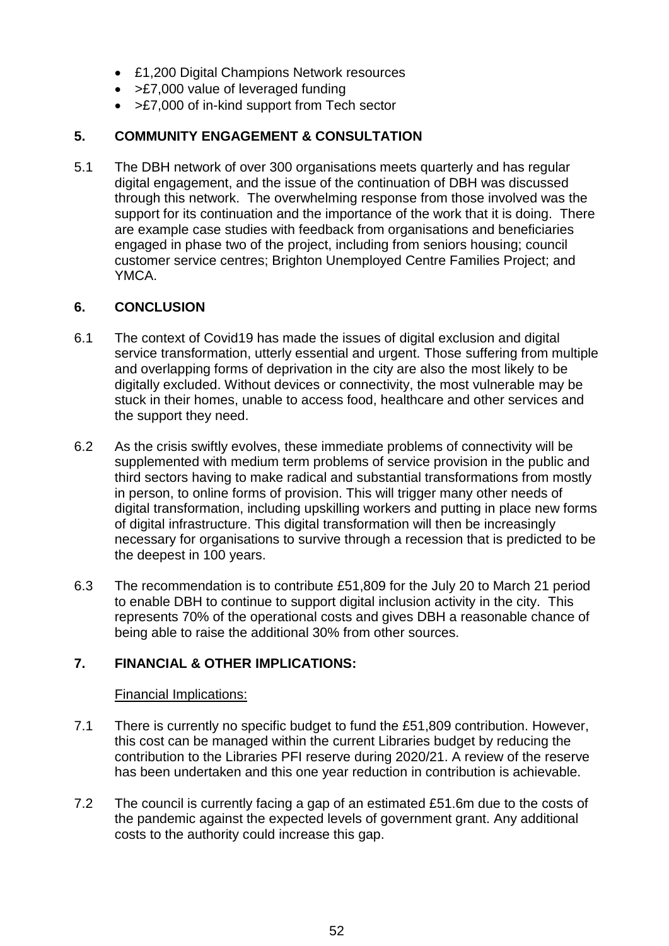- £1,200 Digital Champions Network resources
- > £7,000 value of leveraged funding
- >£7,000 of in-kind support from Tech sector

# **5. COMMUNITY ENGAGEMENT & CONSULTATION**

5.1 The DBH network of over 300 organisations meets quarterly and has regular digital engagement, and the issue of the continuation of DBH was discussed through this network. The overwhelming response from those involved was the support for its continuation and the importance of the work that it is doing. There are example case studies with feedback from organisations and beneficiaries engaged in phase two of the project, including from seniors housing; council customer service centres; Brighton Unemployed Centre Families Project; and YMCA.

#### **6. CONCLUSION**

- 6.1 The context of Covid19 has made the issues of digital exclusion and digital service transformation, utterly essential and urgent. Those suffering from multiple and overlapping forms of deprivation in the city are also the most likely to be digitally excluded. Without devices or connectivity, the most vulnerable may be stuck in their homes, unable to access food, healthcare and other services and the support they need.
- 6.2 As the crisis swiftly evolves, these immediate problems of connectivity will be supplemented with medium term problems of service provision in the public and third sectors having to make radical and substantial transformations from mostly in person, to online forms of provision. This will trigger many other needs of digital transformation, including upskilling workers and putting in place new forms of digital infrastructure. This digital transformation will then be increasingly necessary for organisations to survive through a recession that is predicted to be the deepest in 100 years.
- 6.3 The recommendation is to contribute £51,809 for the July 20 to March 21 period to enable DBH to continue to support digital inclusion activity in the city. This represents 70% of the operational costs and gives DBH a reasonable chance of being able to raise the additional 30% from other sources.

# **7. FINANCIAL & OTHER IMPLICATIONS:**

#### Financial Implications:

- 7.1 There is currently no specific budget to fund the £51,809 contribution. However, this cost can be managed within the current Libraries budget by reducing the contribution to the Libraries PFI reserve during 2020/21. A review of the reserve has been undertaken and this one year reduction in contribution is achievable.
- 7.2 The council is currently facing a gap of an estimated £51.6m due to the costs of the pandemic against the expected levels of government grant. Any additional costs to the authority could increase this gap.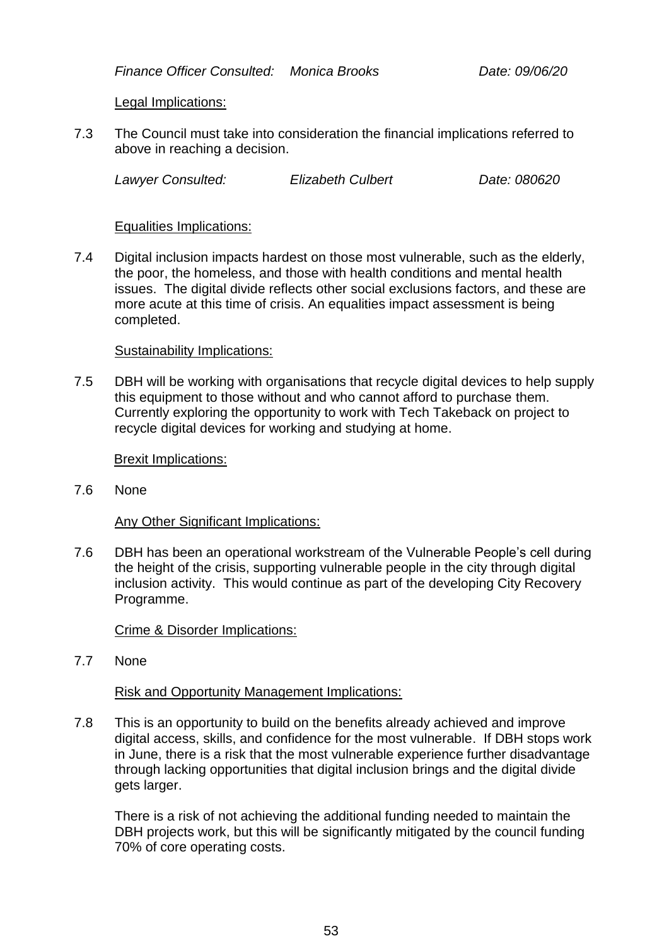*Finance Officer Consulted: Monica Brooks Date: 09/06/20*

Legal Implications:

7.3 The Council must take into consideration the financial implications referred to above in reaching a decision.

*Lawyer Consulted: Elizabeth Culbert Date: 080620*

#### Equalities Implications:

7.4 Digital inclusion impacts hardest on those most vulnerable, such as the elderly, the poor, the homeless, and those with health conditions and mental health issues. The digital divide reflects other social exclusions factors, and these are more acute at this time of crisis. An equalities impact assessment is being completed.

#### Sustainability Implications:

7.5 DBH will be working with organisations that recycle digital devices to help supply this equipment to those without and who cannot afford to purchase them. Currently exploring the opportunity to work with Tech Takeback on project to recycle digital devices for working and studying at home.

#### Brexit Implications:

7.6 None

# Any Other Significant Implications:

7.6 DBH has been an operational workstream of the Vulnerable People's cell during the height of the crisis, supporting vulnerable people in the city through digital inclusion activity. This would continue as part of the developing City Recovery Programme.

# Crime & Disorder Implications:

7.7 None

# Risk and Opportunity Management Implications:

7.8 This is an opportunity to build on the benefits already achieved and improve digital access, skills, and confidence for the most vulnerable. If DBH stops work in June, there is a risk that the most vulnerable experience further disadvantage through lacking opportunities that digital inclusion brings and the digital divide gets larger.

There is a risk of not achieving the additional funding needed to maintain the DBH projects work, but this will be significantly mitigated by the council funding 70% of core operating costs.